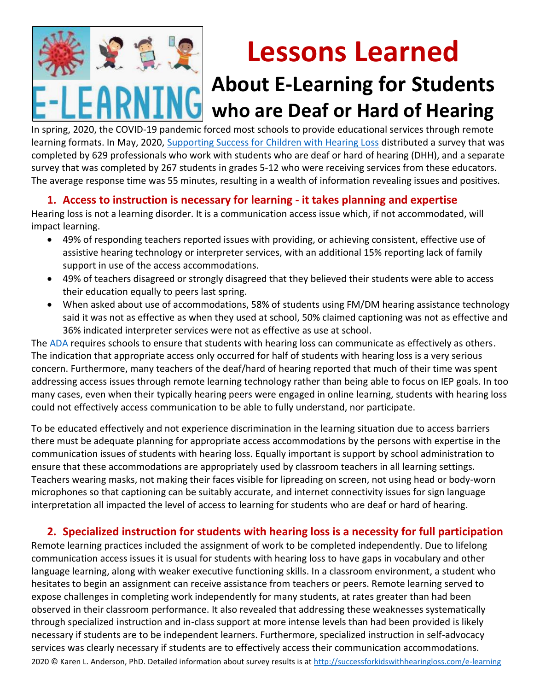

# **Lessons Learned**

## **About E-Learning for Students who are Deaf or Hard of Hearing**

In spring, 2020, the COVID-19 pandemic forced most schools to provide educational services through remote learning formats. In May, 2020, [Supporting Success for Children with Hearing Loss](http://successforkidswithhearingloss.com/) distributed a survey that was completed by 629 professionals who work with students who are deaf or hard of hearing (DHH), and a separate survey that was completed by 267 students in grades 5-12 who were receiving services from these educators. The average response time was 55 minutes, resulting in a wealth of information revealing issues and positives.

### **1. Access to instruction is necessary for learning - it takes planning and expertise**

Hearing loss is not a learning disorder. It is a communication access issue which, if not accommodated, will impact learning.

- 49% of responding teachers reported issues with providing, or achieving consistent, effective use of assistive hearing technology or interpreter services, with an additional 15% reporting lack of family support in use of the access accommodations.
- 49% of teachers disagreed or strongly disagreed that they believed their students were able to access their education equally to peers last spring.
- When asked about use of accommodations, 58% of students using FM/DM hearing assistance technology said it was not as effective as when they used at school, 50% claimed captioning was not as effective and 36% indicated interpreter services were not as effective as use at school.

The [ADA](http://successforkidswithhearingloss.com/access-ada) requires schools to ensure that students with hearing loss can communicate as effectively as others. The indication that appropriate access only occurred for half of students with hearing loss is a very serious concern. Furthermore, many teachers of the deaf/hard of hearing reported that much of their time was spent addressing access issues through remote learning technology rather than being able to focus on IEP goals. In too many cases, even when their typically hearing peers were engaged in online learning, students with hearing loss could not effectively access communication to be able to fully understand, nor participate.

To be educated effectively and not experience discrimination in the learning situation due to access barriers there must be adequate planning for appropriate access accommodations by the persons with expertise in the communication issues of students with hearing loss. Equally important is support by school administration to ensure that these accommodations are appropriately used by classroom teachers in all learning settings. Teachers wearing masks, not making their faces visible for lipreading on screen, not using head or body-worn microphones so that captioning can be suitably accurate, and internet connectivity issues for sign language interpretation all impacted the level of access to learning for students who are deaf or hard of hearing.

#### **2. Specialized instruction for students with hearing loss is a necessity for full participation**

2020 © Karen L. Anderson, PhD. Detailed information about survey results is at <http://successforkidswithhearingloss.com/e-learning> Remote learning practices included the assignment of work to be completed independently. Due to lifelong communication access issues it is usual for students with hearing loss to have gaps in vocabulary and other language learning, along with weaker executive functioning skills. In a classroom environment, a student who hesitates to begin an assignment can receive assistance from teachers or peers. Remote learning served to expose challenges in completing work independently for many students, at rates greater than had been observed in their classroom performance. It also revealed that addressing these weaknesses systematically through specialized instruction and in-class support at more intense levels than had been provided is likely necessary if students are to be independent learners. Furthermore, specialized instruction in self-advocacy services was clearly necessary if students are to effectively access their communication accommodations.